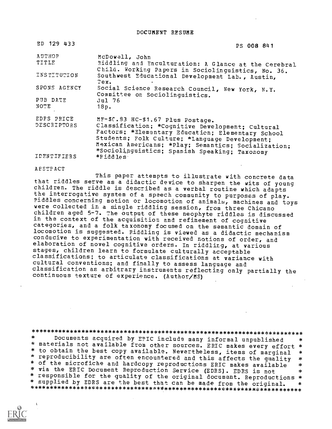DOCUMENT RESUME

| ED 129 433    | PS 008 841                                                                                                 |
|---------------|------------------------------------------------------------------------------------------------------------|
| <b>AUTHOR</b> | McDowell, John                                                                                             |
| TITLE         | Riddling and Enculturation: A Glance at the Cerebral<br>Child. Working Papers in Sociolinguistics, No. 36. |
| INSTITUTION   | Southwest Educational Development Lab., Austin,<br>Tex.                                                    |
| SPONS AGENCY  | Social Science Research Council, New York, N.Y.<br>Committee on Sociolinguistics.                          |
| PUB DATE      | Jul 76                                                                                                     |
| NOTE          | 18p.                                                                                                       |
| EDRS PRICE    | MF-\$C.83 HC-\$1.67 Plus Postage.                                                                          |
| DESCRIPTORS   | Classification; *Cognitive Development; Cultural                                                           |
|               | Factors; *Elementary Education; Elementary School<br>Students; Folk Culture; *Language Development;        |
|               | Mexican Americans; *Play; Semantics; Socialization;                                                        |
|               | *Sociolinguistics; Spanish Speaking; Taxonomy                                                              |
| IDENTIFIERS   | *Riddles                                                                                                   |

#### AESTPACT

This paper attempts to illustrate with concrete data<br>that riddles serve as a didactic device to sharpen the wits of young children. The riddle is described as a verbal routine which adapts<br>the interrogative system of a speech community to purposes of play. piddles concerning motion or locomotion of animals, machines and toys were collected in a single riddling session, from three Chicano children aged 5-7. The output of these neophyte riddles is discussed<br>in the context of the acquisition and refinement of cognitive categories, and a folk taxonomy focused on the semantic domain of locomotion is suggested. Riddling is viewed as a didactic mechanism conducive to experimentation with received notions of order, and elaboration of novel cognitive orders. In riddlirg, at various stages, children learn to formulate culturally acceptable classifications; to articulate classifications at variance with cultural conventions; and finally to assess language and classification as arbitrary instruments reflecting only partially the continuous texture of experience. (Author/MS)

\*\*\*\*\*\*\*\*\*\*\*\*\*\*\*\*\*\*\*\*\*\*\*\*\*\*\*\*\*\*\*\*\*\*\*\*\*\*\*\*\*\*\*\*\*\*\*\*\*\*\*\*\*\*\*\*\*\*\*\*\*\*\*\*\*\*\*\*\*\*\* \* materials not available from other sources. ERIC makes every effort \*<br>\* to obtain the best copy available. Nevertheless, items of marginal \*<br>\* reproducibility are often encountered and this affects the quality \* reproducibility are often encountered and this affects the quality \* of the microfiche and hardcopy reproductions ERIC makes available \* via the ERIC Document Reproduction Service (EDRS). EDRS is not \* \*<br>\* responsible for the quality of the original document. Reproductions \* \* supplied by EDRS are the best that can be made from the original. \* \* supplied by EDRS are the best that can be made from the original. \*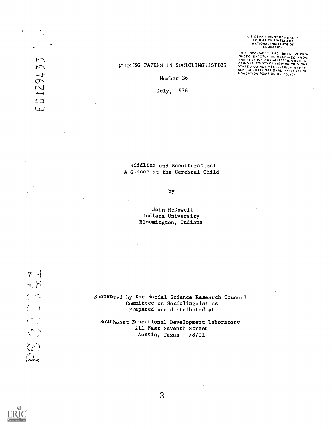# U S OEPARTMENT OF HEALTH,<br>EOUCATION & WELFARE<br>NATIONAL INSTITUTE OF<br>EOUCATION

THIS DOCUMENT HAS BEEN REPRO-<br>OUCED EXACTLY AS RECEIVED FROM<br>THE PERSON''N ORGANIZATION DRIGIN-<br>ATING IT POINTS OF VIEW OR OPINIONS<br>SENTOFFICIAL NATIONAL INSTITUTE OF<br>SENTOFFICIAL NATIONAL INSTITUTE OF<br>EOUCATION POSITION O

### WORKING PAPERS 1N SOCIOLINGUISTICS

Number 36

July, 1976

## Riddling and Enculturation: A Glance at the Cerebral Child

## by

John McDowell Indiana University Bloomington, Indiana

in street

 $\mathcal{F}_{\mathcal{A}}$  and  $\mathcal{F}_{\mathcal{A}}$ 

 $\mathcal{L}^{\text{max}}$ 

129433

 $\Box$  $\cup J$ 

> Sponsored by the Social Science Research Council Committee on Sociolinguistics Prepared and distributed at

Southwest Educational Development Laboratory 211 East Seventh Street Austin, Texas 78701

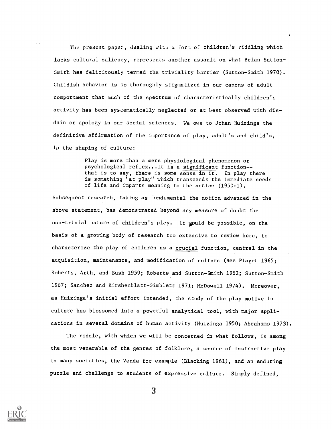The present paper, dealing with a form of children's riddling which lacks cultural saliency, represents another assault on what Brian Sutton-Smith has felicitously termed the triviality barrier (Sutton-Smith 1970). Childish behavior is so thoroughly stigmatized in our canons of adult comportment that much of the spectrum of characteristically children's activity has been systematically neglected or at best observed with disdain or apology in our social sciences. We owe to Johan Huizinga the definitive affirmation of the importance of play, adult's and child's, in the shaping of culture:

> Play is more than a mere physiological phenomenon or psychological reflex...It is a significant function- that is to say, there is some sense in it. In play there is something "at play" which transcends the immediate needs of life and imparts meaning to the action (1950:1).

Subsequent research, taking as fundamental the notion advanced in the above statement, has demonstrated beyond any measure of doubt the non-trivial nature of children's play. It would be possible, on the basis of a growing body of research too extensive to review here, to characterize the play of children as a crucial function, central in the acquisition, maintenance, and modification of culture (see Piaget 1965; Roberts, Arth, and Bush 1959; Roberts and Sutton-Smith 1962; Sutton-Smith 1967; Sanchez and Kirshenblatt-Gimblett 1971; McDowell 1974). Moreover, as Huizinga's initial effort intended, the study of the play motive in culture has blossomed into a powerful analytical tool, with major applications in several domains of human activity (Huizinga 1950; Abrahams 1973).

The riddle, with which we will be concerned in what follows, is among the most venerable of the genres of folklore, a source of instructive play in many societies, the Venda for example (Blacking 1961), and an enduring puzzle and challenge to students of expressive culture. Simply defined,

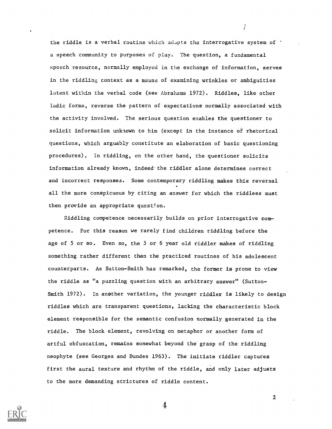the riddle is a verbal routine which adapts the interrogative system of  $\cdot$ a speech community to purposes of play. The question, a fundamental speech resource, normally employed in the exchange of information, serves in the riddling context as a means of examining wrinkles or ambiguities latent within the verbal code (see Abrahams 1972). Riddles, like other ludic forms, reverse the pattern of expectations normally associated with the activity involved. The serious question enables the questioner to solicit information unknown to him (except in the instance of rhetorical questions, which arguably constitute an elaboration of basic questioning procedures). In riddling, on the other hand, the questioner solicits information already known, indeed the riddler alone determines correct and incorrect responses. Some contemporary riddling makes this reversal all the more conspicuous by citing an answer for which the riddlees must then provide an appropriate question.

 $\frac{1}{2}$ 

Riddling competence necessarily builds on prior interrogative com petence. For this reason we rarely find children riddling before the age of 5 or so. Even so, the 5 or 6 year old riddler makes of riddling something rather different than the practiced routines of his adolescent counterparts. As Sutton-Smith has remarked, the former is prone to view the riddle as "a puzzling question with an arbitrary answer" (Sutton Smith 1972). In another variation, the younger riddler is likely to design riddles which are transparent questions, lacking the characteristic block element responsible for the semantic confusion normally generated in the riddle. The block element, revolving on metaphor or another form of artful obfuscation, remains somewhat beyond the grasp of the riddling neophyte (see Georges and Dundes 1963). The initiate riddler captures first the aural texture and rhythm of the riddle, and only later adjusts to the more demanding strictures of riddle content.

4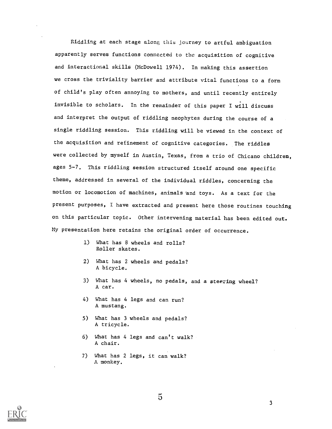Riddling at each stage along this journey to artful ambiguation apparently serves functions connected to the acquisition of cognitive and interactional skills (McDowell 1974). In making this assertion we cross the triviality barrier and attribute vital functions to a form of child's play often annoying to mothers, and until recently entirely invisible to scholars. In the remainder of this paper I will discuss and interpret the output of riddling neophytes during the course of a single riddling session. This riddling will be viewed in the context of the acquisition and refinement of cognitive categories. The riddles were collected by myself in Austin, Texas, from a trio of Chicano children, ages 5-7. This riddling session structured itself around one specific theme, addressed in several of the individual riddles, concerning the motion or locomotion of machines, animals and toys. As a text for the present purposes, I have extracted and present here those routines touching on this particular topic. Other intervening material has been edited out. My presentation here retains the original order of occurrence.

- 1) What has 8 wheels and rolls? Roller skates.
- 2) What has 2 wheels and pedals? A bicycle.
- 3) What has 4 wheels, no pedals, and a steering wheel? A car.
- 4) What has 4 legs and can run? A mustang.
- 5) What has 3 wheels and pedals? A tricycle.
- 6) What has 4 legs and can't walk? A chair.
- 7) What has 2 legs, it can walk? A monkey.

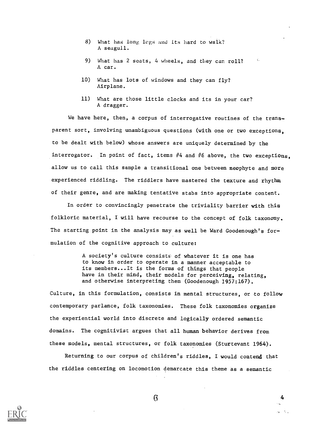- 8) What has long legs and its hard to walk? A seagull.
- 9) What has 2 seats, 4 wheels, and they can roll? A car.
- 10) What has lots of windows and they can fly? Airplane.
- 11) What are those little clocks and its in your car? A dragger.

We have here, then, a corpus of interrogative routines of the transparent sort, involving unambiguous questions (with one or two exceptions, to be dealt with below) whose answers are uniquely determined by the interrogator. In point of fact, items #4 and #6 above, the two exceptions, allow us to call this sample a transitional one between neophyte and more experienced riddling. The riddlers have mastered the texture and rhythm of their genre, and are making tentative stabs into appropriate content.

In order to convincingly penetrate the triviality barrier with this folkloric material, I will have recourse to the concept of folk taxonomy. The starting point in the analysis may as well be Ward Goodenough's formulation of the cognitive approach to culture:

> A society's culture consists of whatever it is one has to know in order to operate in a manner acceptable to its members...It is the forms of things that people have in their mind, their models for perceiving, relating, and otherwise interpreting them (Goodenough 1957:167).

Culture, in this formulation, consists in mental structures, or to follow contemporary parlance, folk taxonomies. These folk taxonomies organize the experiential world into discrete and logically ordered semantic domains. The cognitivist argues that all human behavior derives from these models, mental structures, or folk taxonomies (Sturtevant 1964).

Returning to our corpus of children's riddles, I would contend that the riddles centering on locomotion demarcate this theme as a semantic



 $6 \hspace{2.5cm} 4$ 

 $\alpha=1$  .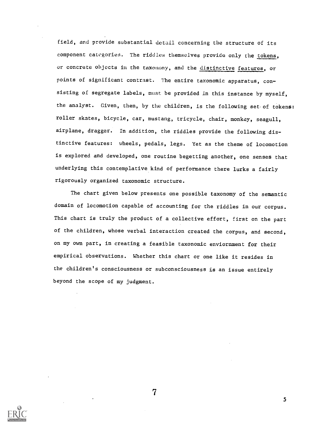field, and provide substantial detail concerning the structure of its component categories. The riddles themselves provide only the tokens, or concrete objects in the taxonomy, and the distinctive features, or points of significant contrast. The entire taxonomic apparatus, consisting of segregate labels, must be provided in this instance by myself, the analyst. Given, then, by the children, is the following set of tokens: roller skates, bicycle, car, mustang, tricycle, chair, monkey, seagull, airplane, dragger. In addition, the riddles provide the following distinctive features: wheels, pedals, legs. Yet as the theme of locomotion is explored and developed, one routine begetting another, one senses that underlying this contemplative kind of performance there lurks a fairly rigorously organized taxonomic structure.

The chart given below presents one possible taxonomy of the semantic domain of locomotion capable of accounting for the riddles in our corpus. This chart is truly the product of a collective effort, first on the part of the children, whose verbal interaction created the corpus, and second, on my own part, in creating a feasible taxonomic enviornment for their empirical observations. Whether this chart or one like it resides in the children's consciousness or subconsciousness is an issue entirely beyond the scope of my judgment.

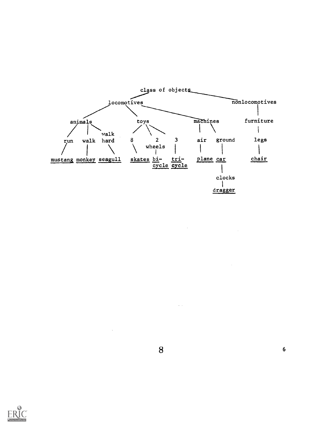



 $\bar{z}$ 

 $\tilde{K}$  ,  $\tilde{K}$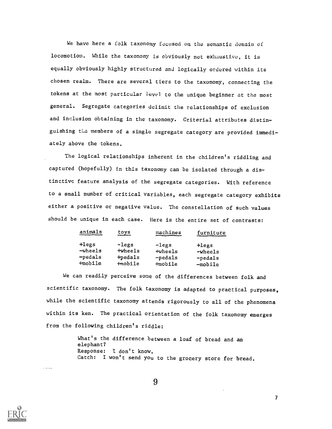We have here a folk taxonomy focused on the semantic domain of locomotion. While the taxonomy is obviously not exhaustive, it is equally obviously highly structured and logically ordered within its chosen realm. There are several tiers to the taxonomy, connecting the tokens at the most particular level to the unique beginner at the most general. Segregate categories delimit the relationships of exclusion and inclusion obtaining in the taxonomy. Criterial attributes distinguishing the members of a single segregate category are provided immediately above the tokens.

The logical relationships inherent in the children's riddling and captured (hopefully) in this taxonomy can be isolated through a distinctive feature analysis of the segregate categories. With reference to a small number of critical variables, each segregate category exhibits either a positive or negative value. The constellation of such values should be unique in each case. Here is the entire set of contrasts:

| animals             | toys    | machines         | furniture |  |
|---------------------|---------|------------------|-----------|--|
| $+1$ egs            | -legs   | $-l$ egs         | $+1egs$   |  |
| -wheels             | +wheels | <b>+wheels</b>   | -wheels   |  |
| -pedals             | tpedals | $-\text{pedals}$ | $-pedals$ |  |
| <del>¦</del> mobile | tmobile | $+$ mobile       | $-mobile$ |  |

We can readily perceive some of the differences between folk and scientific taxonomy. The folk taxonomy is adapted to practical purposes, while the scientific taxonomy attends rigorously to all of the phenomena within its ken. The practical orientation of the folk taxonomy emerges from the following children's riddle:

> What's the difference between a loaf of bread and an elephant? Response: I don't know. Catch: I won't send you to the grocery store for bread.

9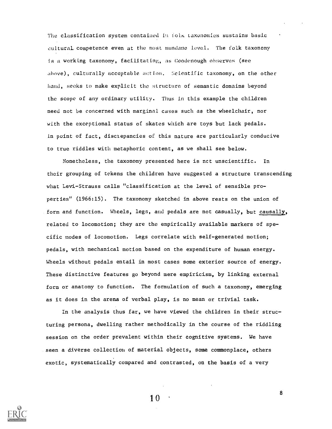The classification system contained iu folk taxonomies sustains basic cultural competence even at the most mundane level. The folk taxonomy is a working taxonomy, facilitatim;, as Goodenough ohserves (see above), culturally acceptable action. Scientific taxonomy, on the other hand, seeks to make explicit the structure of semantic domains beyond the scope of any ordinary utility. Thus in this example the children need not be concerned with marginal cases such as the wheelchair, nor with the exceptional status of skates which are toys but lack pedals. In point of fact, disciepancies of this nature are particularly conducive to true riddles with metaphoric content, as we shall see below.

Nonetheless, the taxonomy presented here is nct unscientific. In their grouping of tokens the children have suggested a structure transcending what Levi-Strauss calls "classification at the level of sensible properties" (1966:15). The taxonomy sketched in above rests on the union of form and function. Wheels, legs, aud pedals are not casually, but causally, related to locomotion; they are the empirically available markers of specific modes of locomotion. Legs correlate with self-generated motion; pedals, with mechanical motion based on the expenditure of human energy. Wheels without pedals entail in most cases some exterior source of energy. These distinctive features go beyond mere empiricism, by linking external form or anatomy to function. The formulation of such a taxonomy, emerging as it does in the arena of verbal play, is no mean or trivial task.

In the analysis thus far, we have viewed the children in their structuring persona, dwelling rather methodically in the course of the riddling session on the order prevalent within their cognitive systems. We have seen a diverse collection of material objects, some commonplace, others exotic, systematically compared and contrasted, on the basis of a very



1 0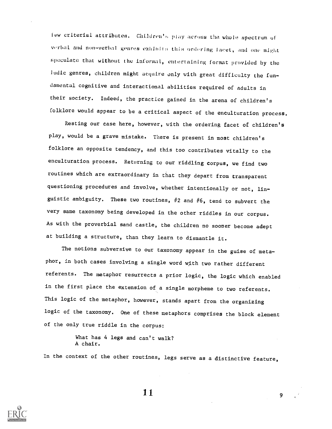few criterial attributes. Childron'h play acrons the whole spectrum of verbal and non-verbal genres exhibits this ordering facet, and one might speculate that without the informal, entertaining format provided by the ludic genres, children might acquire only with great difficulty the fundamental cognitive and interactional abilities required of adults in their society. Indeed, the practice gained in the arena of children's folklore would appear to be a critical aspect of the enculturation process.

Resting our case here, however, with the ordering facet of children's play, would be a grave mistake. There is present in most children's folklore an opposite tendency, and this too contributes vitally to the enculturation process. Returning to our riddling corpus, we find two routines which are extraordinary in that they depart from transparent questioning procedures and involve, whether intentionally or not, linguistic ambiguity. These two routines,  $#2$  and  $#6$ , tend to subvert the very same taxonomy being developed in the other riddles in our corpus. As with the proverbial sand castle, the children no sooner become adept at building a structure, than they learn to dismantle it.

The notions subversive to our taxonomy appear in the guise of metaphor, in both cases involving a single word with two rather different referents. The metaphor resurrects a prior logic, the logic which enabled in the first piace the extension of a single morpheme to two referents. This logic of the metaphor, however, stands apart from the organizing logic of the taxonomy. One of these metaphors comprises the block element of the only true riddle in the corpus:

> What has 4 legs and can't walk? A chair.

In the context of the other routines, legs serve as a distinctive feature,



 $\mathbf{1} \, \mathbf{1}$  9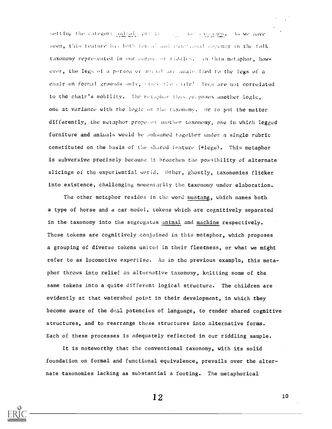setting the category animal contractions and anounces. As we have seen, this teature has both forced and functional cogency in the folk taxonomy represented in our corpus of riddles, in this metaphor, however, the legs of a person or animal are analogized to the legs of a chalr on formal grounds only, since the chair! . legs are not correlated to the chair's mobility. The retaphor thus proposes another logic, one at variance with the logic of the taxonomy. Or ro put the matter differently, the metaphor proposes unother taxonomy, one in which legged furniture and animals would be subsumed together under a single rubric constituted on the basis of the shared feature (+legs). This metaphor is subversive precisely because it broaches the possibility of alternate slicings of the experiential world. Other, ghostly, taxonomies flicker into existence, challenging momentarily the taxonomy under elaboration.

The other metaphor resides in the word mustang, which names both a type of horse and a car model, tokens which are cognitively separated in the taxonomy into the segregates animal and machine respectively. These tokens are cognitively conjoined in this metaphor, which proposes a grouping of diverse tokens united in their fleetness, or what we might refer to as locomotive expertise. As in the previous example, this metaphor throws into relief an alternative taxonomy, knitting some of the same tokens into a quite diEferent logical structure. The children are evidently at that watershed point in their development, in which they become aware of the dual potencies of language, to render shared cognitive structures, and to rearrange these structures into alternative forms. Each of these processes is adequately reflected in our riddling sample.

It is noteworthy that the conventional taxonomy, with its solid foundation on formal and functional equivalence, prevails over the alternate taxonomies lacking as substantial a footing. The metaphorical

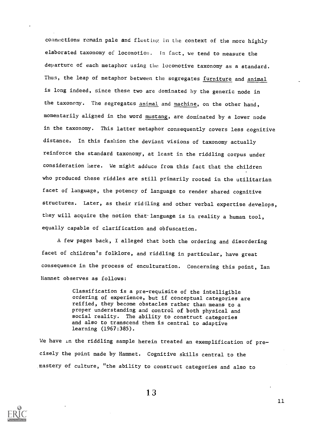connections remain pale and fleeting in the context of the more highly elaborated taxonomy of locomotion. In fact, we tend to measure the departure of each metaphor using the locomotive taxonomy as a standard. Thus, the leap of metaphor between the segregates furniture and animal is long indeed, since these two are dominated by the generic node in the taxonomy. The segregates animal and machine, on the other hand, momentarily aligned in the word mustang, are dominated by a lower node in the taxonomy. This latter metaphor consequently covers less cognitive distance. In this fashion the deviant visions of taxonomy actually reinforce the standard taxonomy, at least in the riddling corpus under consideration here. We might adduce from this fact that the children who produced these riddles are still primarily rooted in the utilitarian facet of language, the potency of language to render shared cognitive structures. Later, as their ridiling and other verbal expertise develops, they will acquire the notion that language is in reality a human tool, equally capable of clarification and obfuscation.

A few pages back, I alleged that both the ordering and disordering facet of children's folklore, and riddling in particular, have great consequence in the process of enculturation. Concerning this point, Ian Hamnet observes as follows:

> Classification is a pre-requisite of the intelligible ordering of experience, but if conceptual categories are reified, they become obstacles rather than means to a proper understanding and control of both physical and social reality. The ability to construct categories and also to transcend them is central to adaptive learning (1967:385).

We have in the riddling sample herein treated an exemplification of precisely the point made by Hamnet. Cognitive skills central to the mastery of culture, "the ability to construct categories and also to

1 3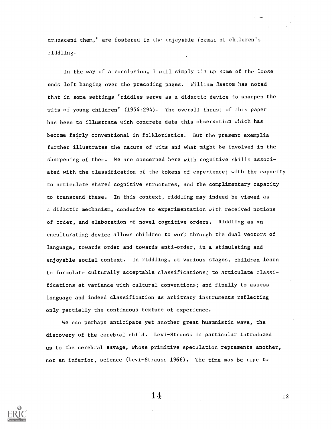transcend them," are fostered in the fnjcyable format of children's riddling.

In the way of a conclusion,  $l$  will simply tie up some of the loose ends left hanging over the preceding pages. William Bascom has noted that in some settings "riddles serve as a didactic device to sharpen the wits of young children" (1954:294). The overall thrust of this paper has been to illustrate with concrete data this observation which has become fairly conventional in folkloristics. But the present exemplia further illustrates the nature of wits and what might be involved in the sharpening of them. We are concerned here with cognitive skills associated with the classification of the tokens of experience; with the capacity to articulate shared cognitive structures, and the complimentary capacity to transcend these. In this context, riddling may indeed be viewed as a didactic mechanism, conducive to experimentation with received notions of order, and elaboration of novel cognitive orders. Riddling as an enculturating device allows children to work through the dual vectors of language, towards order and towards anti-order, in a stimulating and enjoyable social context. In riddling, at various stages, children learn to formulate culturally acceptable classifications; to articulate classifications at variance with cultural conventions; and finally to assess language and indeed classification as arbitrary instruments reflecting only partially the continuous texture of experience.

We can perhaps anticipate yet another great huamnistic wave, the discovery of the cerebral child. Levi-Strauss in particular introduced us to the cerebral savage, whose primitive speculation represents another, not an inferior, science (Levi-Strauss 1966). The time may be ripe to

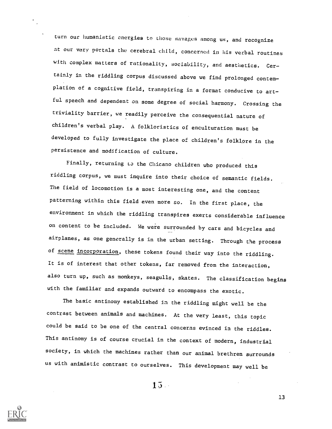turn our humanistic energies to those savages among us, and recognize at our very portals the cerebral child, concerned in his verbal routines with complex matters of rationality, sociability, and aesthetics. Certainly in the riddling corpus discussed above we find prolonged contemplation of a cognitive field, transpiring in a format conducive to artful speech and dependent on some degree of social harmony. Crossing the triviality barrier, we readily perceive the consequential nature of children's verbal play. A folkloristics of enculturation must be developed to fully investigate the place of children's folklore in the persistence and modification of culture.

Finally, returning to the Chicano children who produced this riddling corpus, we must inquire into their choice of semantic fields. The field of locomotion is a most interesting one, and the content patterning within this field even more so. In the first place, the environment in which the riddling transpires exerts considerable influence on content to be included. We were surrounded by cars and bicycles and airplanes, as one generally is in the urban setting. Through the process of scene incorporation, these tokens found their way into the riddling. It is of interest that other tokens, far removed from the interaction, also turn up, such as monkeys, seagulls, skates. The classification begins with the familiar and expands outward to encompass the exotic.

The basic antinomy established in the riddling might well be the contrast between animals and machines. At the very least, this topic could be said to be one of the central concerns evinced in the riddles. This antinomy is of course crucial in the context of modern, industrial society, in which the machines rather than our animal brethren surrounds us with animistic contrast to ourselves. This development may well be

 $15 -$ 

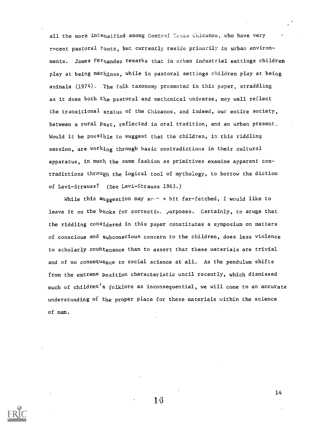all the more intensified among Central Texas Chicanos, who have very recent pastoral roots, but currently reside primarily in urban environments. James Fernandez remarks that in urban industrial settings children play at being machines, while in pastoral settings children play at being animals (1974). The folk taxonomy presented in this paper, straddling as it does both the pastoral and mechanical universe, may well reflect the transitional status of the Chicanos, and indeed, our entire society, between a rural Past, reflected in oral tradition, and an urban present. Would it be possible to suggest that the children, in this riddling session, are working through basic contradictions in their cultural apparatus, in much the same fashion as primitives examine apparent contradictions through the logical tool of mythology, to borrow the diction of Levi-Strauss? (See Levi-Strauss 1963.)

While this suggestion may sage a bit far-fetched, I would like to leave it on the  $b$ ooks for correctiv.  $p$ urposes. Certainly, to aruge that the riddling considered in this paper constitutes a symposium on matters of conscious and subconscious concern to the children, does less violence to scholarly countenance than to assert that these materials are trivial and of no consequence to social science at all. As the pendulum shifts from the extreme Position characteristic until recently, which dismissed much of children's folklore as inconsequential, we will come to an accurate understanding of the proper place for these materials within the science of man.

1 6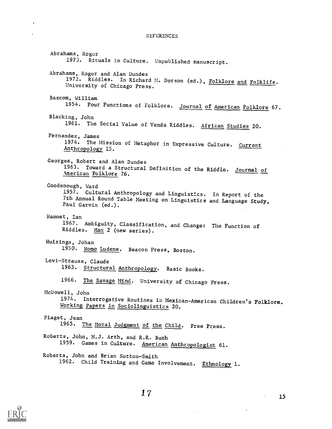#### **REFERENCES**

Abrahams, Roger 1973. Rituals in Culture. Unpublished manuscript. Abrahams, Roger and Alan Dundes 1972. Riddles. In Richard M. Dorson (ed.), <u>Folklore and Folklife</u>.<br>University of Chicago D University of Chicago Press. Bascom, William 1954. Four Functions of Folklore. <u>Journal of American Folklor</u>e 67. Blacking, John 1961. The Social Value of Venda Riddles. African Studies 20. Fernandez, James 1974. The Mission of Metaphor in Expressive Culture. Current Anthropology 15. Georges, Robert and Alan Dundes 1963. Toward a Structural Definition of the Riddle. Journal of kmerican Folklore 76. Goodenough, Ward 1957. Cultural Anthropology and Linguistics. In Report of the 7th Annual Round Table Meeting on Linguistics and Language Study, Paul Garvin (ed.). Hamnet, Ian 1967. Ambiguity, Classification, and Change: The Function of Riddles. Man 2 (new series). Huizinga, Johan 1950. Homo Ludens. Beacon Press, Boston. Levi-Strauss, Claude 1963. Structural Anthropology. Basic Books. 1966. The Savage Mind. University of Chicago Press. McDowell, John 1974. Interrogative Routines in Mexican-American Children's Folklore. Working Papers in Sociolinguistics 20. Piaget, Jean 1965. The Moral Judgment of the Child. Free Press. Roberts, John, M.J. Arth, and R.R. Buch 1959. Games in Culture. American Anthropologist 61. Roberts, John and Brian Sutton-Smith 1962. Child Training and Game Involvement. Ethnology 1.

1 7